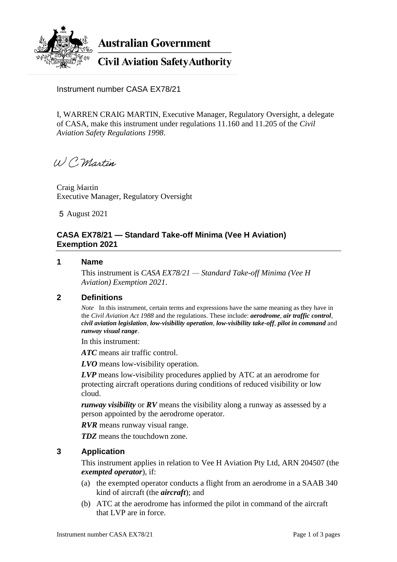

**Australian Government** 

# **Civil Aviation Safety Authority**

Instrument number CASA EX78/21

I, WARREN CRAIG MARTIN, Executive Manager, Regulatory Oversight, a delegate of CASA, make this instrument under regulations 11.160 and 11.205 of the *Civil Aviation Safety Regulations 1998*.

WC Martin

Craig Martin Executive Manager, Regulatory Oversight

August 2021 5

## **CASA EX78/21 — Standard Take-off Minima (Vee H Aviation) Exemption 2021**

#### **1 Name**

This instrument is *CASA EX78/21 — Standard Take-off Minima (Vee H Aviation) Exemption 2021*.

#### **2 Definitions**

*Note* In this instrument, certain terms and expressions have the same meaning as they have in the *Civil Aviation Act 1988* and the regulations. These include: *aerodrome*, *air traffic control*, *civil aviation legislation*, *low-visibility operation*, *low-visibility take-off*, *pilot in command* and *runway visual range*.

In this instrument:

*ATC* means air traffic control.

*LVO* means low-visibility operation.

*LVP* means low-visibility procedures applied by ATC at an aerodrome for protecting aircraft operations during conditions of reduced visibility or low cloud.

*runway visibility* or *RV* means the visibility along a runway as assessed by a person appointed by the aerodrome operator.

*RVR* means runway visual range.

*TDZ* means the touchdown zone.

## **3 Application**

This instrument applies in relation to Vee H Aviation Pty Ltd, ARN 204507 (the *exempted operator*), if:

- (a) the exempted operator conducts a flight from an aerodrome in a SAAB 340 kind of aircraft (the *aircraft*); and
- (b) ATC at the aerodrome has informed the pilot in command of the aircraft that LVP are in force.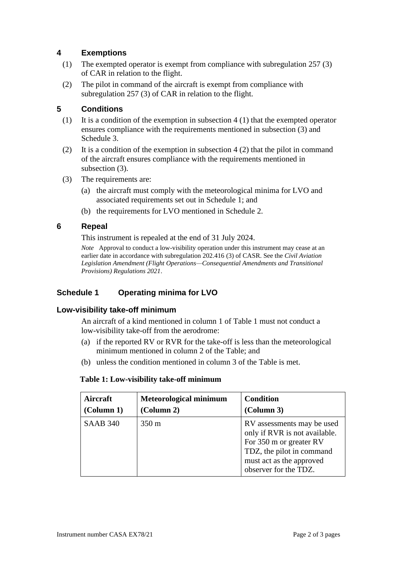# **4 Exemptions**

- (1) The exempted operator is exempt from compliance with subregulation 257 (3) of CAR in relation to the flight.
- (2) The pilot in command of the aircraft is exempt from compliance with subregulation 257 (3) of CAR in relation to the flight.

## **5 Conditions**

- (1) It is a condition of the exemption in subsection 4 (1) that the exempted operator ensures compliance with the requirements mentioned in subsection (3) and Schedule 3.
- (2) It is a condition of the exemption in subsection  $4(2)$  that the pilot in command of the aircraft ensures compliance with the requirements mentioned in subsection (3).
- (3) The requirements are:
	- (a) the aircraft must comply with the meteorological minima for LVO and associated requirements set out in Schedule 1; and
	- (b) the requirements for LVO mentioned in Schedule 2.

## **6 Repeal**

This instrument is repealed at the end of 31 July 2024.

*Note* Approval to conduct a low-visibility operation under this instrument may cease at an earlier date in accordance with subregulation 202.416 (3) of CASR. See the *Civil Aviation Legislation Amendment (Flight Operations—Consequential Amendments and Transitional Provisions) Regulations 2021*.

## **Schedule 1 Operating minima for LVO**

## **Low-visibility take-off minimum**

An aircraft of a kind mentioned in column 1 of Table 1 must not conduct a low-visibility take-off from the aerodrome:

- (a) if the reported RV or RVR for the take-off is less than the meteorological minimum mentioned in column 2 of the Table; and
- (b) unless the condition mentioned in column 3 of the Table is met.

#### **Table 1: Low-visibility take-off minimum**

| Aircraft            | <b>Meteorological minimum</b> | <b>Condition</b>                                                                                                                                                         |
|---------------------|-------------------------------|--------------------------------------------------------------------------------------------------------------------------------------------------------------------------|
| $\text{(Column 1)}$ | (Column 2)                    | $\left($ Column 3 $\right)$                                                                                                                                              |
| <b>SAAB 340</b>     | $350 \text{ m}$               | RV assessments may be used<br>only if RVR is not available.<br>For 350 m or greater RV<br>TDZ, the pilot in command<br>must act as the approved<br>observer for the TDZ. |